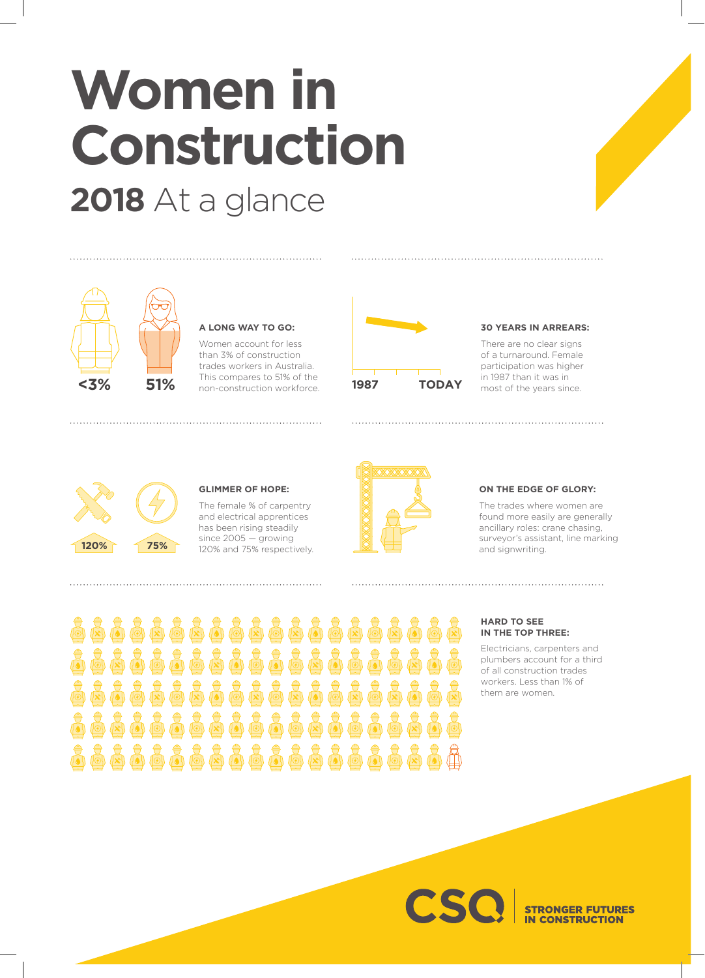# **Women in Construction 2018** At a glance



## **A LONG WAY TO GO:**

Women account for less than 3% of construction trades workers in Australia. This compares to 51% of the non-construction workforce.



#### **30 YEARS IN ARREARS:**

There are no clear signs of a turnaround. Female participation was higher



# **GLIMMER OF HOPE:**

The female % of carpentry and electrical apprentices has been rising steadily since 2005 — growing



#### **ON THE EDGE OF GLORY:**

The trades where women are found more easily are generally ancillary roles: crane chasing, surveyor's assistant, line marking

高点高点高高点高点  $\sum_{n=0}^{\infty}$ **John Axil don** 

#### **HARD TO SEE IN THE TOP THREE:**

Electricians, carpenters and plumbers account for a third of all construction trades workers. Less than 1% of them are women.